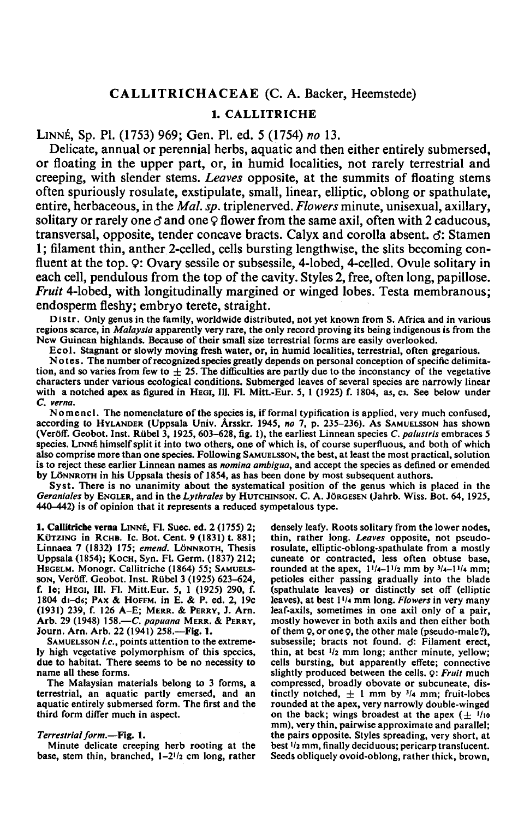# CALLITRICHACEAE (C. A. Backer, Heemstede)

## 1. CALLITRICHE

LINNE, Sp. PI. (1753) 969; Gen. PI. ed. <sup>5</sup> (1754) no 13.

Delicate, annual or perennial herbs, aquatic and then either entirely submersed, or floating in the upper part, or, in humid localities, not rarely terrestrial and creeping, with slender stems. Leaves opposite, at the summits of floating stems often spuriously rosulate, exstipulate, small, linear, elliptic, oblong or spathulate, entire, herbaceous, in the *Mal. sp.* triplenerved. Flowers minute, unisexual, axillary, solitary or rarely one  $\sigma$  and one  $\varphi$  flower from the same axil, often with 2 caducous, transversal, opposite, tender concave bracts. Calyx and corolla absent,  $\sigma$ : Stamen 1; filament thin, anther 2-celled, cells bursting lengthwise, the slits becoming confluent at the top.  $\varphi$ : Ovary sessile or subsessile, 4-lobed, 4-celled. Ovule solitary in each cell, pendulous from the top of the cavity. Styles 2, free, often long, papillose. Fruit 4-lobed, with longitudinally margined or winged lobes. Testa membranous; endosperm fleshy; embryo terete, straight.

Distr. Only genus in the family, worldwide distributed, not yet known from S. Africa and in various regions scarce, in Malaysia apparently very rare, the only record proving its being indigenous is from the New Guinean highlands. Because of their small size terrestrial forms are easily overlooked.

Ecol. Stagnant or slowly moving fresh water, or, in humid localities, terrestrial, often gregarious. Notes. The number ofrecognized species greatly dependson personal conception of specific delimitation, and so varies from few to  $\pm$  25. The difficulties are partly due to the inconstancy of the vegetative characters under various ecological conditions. Submerged leaves of several species are narrowly linear with a notched apex as figured in HEGI, Ill. Fl. Mitt.-Eur. 5, 1 (1925) f. 1804, as, c3. See below under C. verna.

Nomencl. The nomenclature of the species is, if formal typification is applied, very much confused, according to HYLANDER (Uppsala Univ. Arsskr. 1945, no 7, p. 235-236). As SAMUELSSON has shown (Veröff. Geobot. Inst. Rübel 3, 1925, 603-628, fig. 1), the earliest Linnean species C. palustris embraces 5 species. LINNÉ himself split it into two others, one of which is, of course superfluous, and both of which also comprise morethan onespecies. Following SAMUELSSON, the best, at least the most practical, solution is to reject these earlier Linnean names as nomina ambigua, and accept the species as defined or emended by LÖNNROTH in his Uppsala thesis of 1854, as has been done by most subsequent authors.

Syst. There is no unanimity about the systematical position of the genus which is placed in the Geraniales by ENGLER, and in the Lythrales by HUTCHINSON. C. A. JORGESEN (Jahrb. Wiss. Bot. 64, 1925, 440-442) is of opinion that it represents a reduced sympetalous type.

1. Callitriche verna LINNÉ, Fl. Suec. ed. 2 (1755) 2; KÜTZING in RCHB. IC. Bot. Cent. <sup>9</sup> (1831) t. 881; Linnaea <sup>7</sup> (1832) 175; emend. LÖNNROTH, Thesis Uppsala (1854); KOCH, Syn. Fl. Germ. (1837) 212; HEGELM. Monogr. Callitriche (1864) 55; SAMUELS-SON, Veröff. Geobot. Inst. Rübel <sup>3</sup> (1925) 623-624, f. Ie; HEGI, 111. Fl. Mitt.Eur. 5, <sup>1</sup> (1925) 290, f. <sup>1804</sup> di-ds; PAX & HOFFM. in E. & P. ed. 2, 19c (1931) 239, f. <sup>126</sup> A-E; MERR. & PERRY, J. Arn. Arb. 29 (1948) 158.—*C. papuana* MERR. & PERRY, Journ. Arn. Arb. 22 (1941) 258.—Fig. 1.

SAMUELSSON *l.c.*, points attention to the extremely high vegetative polymorphism of this species, due to habitat. There seems to be no necessity to name all these forms.

The Malaysian materials belong to <sup>3</sup> forms, a terrestrial, an aquatic partly emersed, and an aquatic entirely submersed form. The first and the third form differ much in aspect.

## Terrestrial form.—Fig. 1.

Minute delicate creeping herb rooting at the base, stem thin, branched,  $1-2^{1/2}$  cm long, rather densely leafy. Roots solitary from the lower nodes, thin, rather long. Leaves opposite, not pseudorosulate, elliptic-oblong-spathulate from a mostly cuneate or contracted, less often obtuse base, rounded at the apex,  $1^{1/4}-1^{1/2}$  mm by  $3/4-1^{1/4}$  mm; petioles either passing gradually into the blade (spathulate leaves) or distinctly set off (elliptic leaves), at best l'/4 mm long. Flowers in very many leaf-axils, sometimes in one axil only of <sup>a</sup> pair, mostly however in both axils and then either both of them 9, or one 9, the other male (pseudo-male?), subsessile; bracts not found, d: Filament erect, thin, at best  $\frac{1}{2}$  mm long; anther minute, yellow; cells bursting, but apparently effete; connective slightly produced between the cells. Q: Fruit much compressed, broadly obovate or subcuneate, distinctly notched,  $\pm$  1 mm by  $\frac{3}{4}$  mm; fruit-lobes rounded at the apex, very narrowly double-winged on the back; wings broadest at the apex  $(\pm 1/10)$ mm), very thin, pairwise approximate and parallel; the pairs opposite. Styles spreading, very short, at best  $1/2$  mm, finally deciduous; pericarp translucent. Seeds obliquely ovoid-oblong, rather thick, brown,